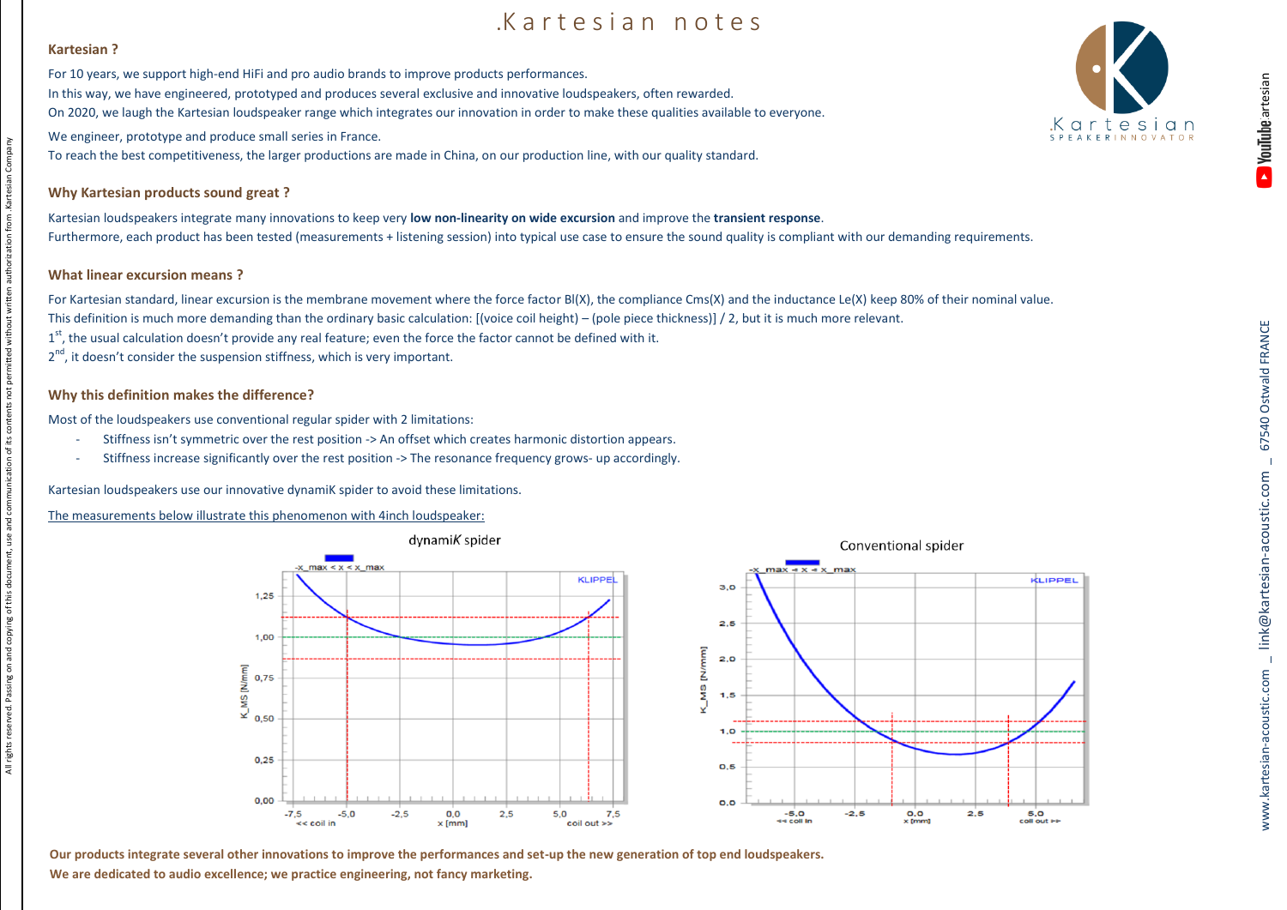# Kartesian notes

#### **Kartesian ?**

All rights reserved. Passing on and copying of this document, use and communication of its contents not permitted without written authorization from .Kartesian Company

All rights reserved. Passing on and copying of this document, use and communication of its contents not permitted without written authorization from . Kartesian Company

For 10 years, we support high-end HiFi and pro audio brands to improve products performances. In this way, we have engineered, prototyped and produces several exclusive and innovative loudspeakers, often rewarded. On 2020, we laugh the Kartesian loudspeaker range which integrates our innovation in order to make these qualities available to everyone.

We engineer, prototype and produce small series in France.

To reach the best competitiveness, the larger productions are made in China, on our production line, with our quality standard.

## **Why Kartesian products sound great ?**

Kartesian loudspeakers integrate many innovations to keep very **low non-linearity on wide excursion** and improve the **transient response**. Furthermore, each product has been tested (measurements + listening session) into typical use case to ensure the sound quality is compliant with our demanding requirements.

#### **What linear excursion means ?**

For Kartesian standard, linear excursion is the membrane movement where the force factor Bl(X), the compliance Cms(X) and the inductance Le(X) keep 80% of their nominal value. This definition is much more demanding than the ordinary basic calculation: [(voice coil height) – (pole piece thickness)] / 2, but it is much more relevant. 1<sup>st</sup>, the usual calculation doesn't provide any real feature; even the force the factor cannot be defined with it.

2<sup>nd</sup>, it doesn't consider the suspension stiffness, which is very important.

### **Why this definition makes the difference?**

Most of the loudspeakers use conventional regular spider with 2 limitations:

- Stiffness isn't symmetric over the rest position -> An offset which creates harmonic distortion appears.
- Stiffness increase significantly over the rest position -> The resonance frequency grows- up accordingly.

Kartesian loudspeakers use our innovative dynamiK spider to avoid these limitations.

The measurements below illustrate this phenomenon with 4inch loudspeaker: